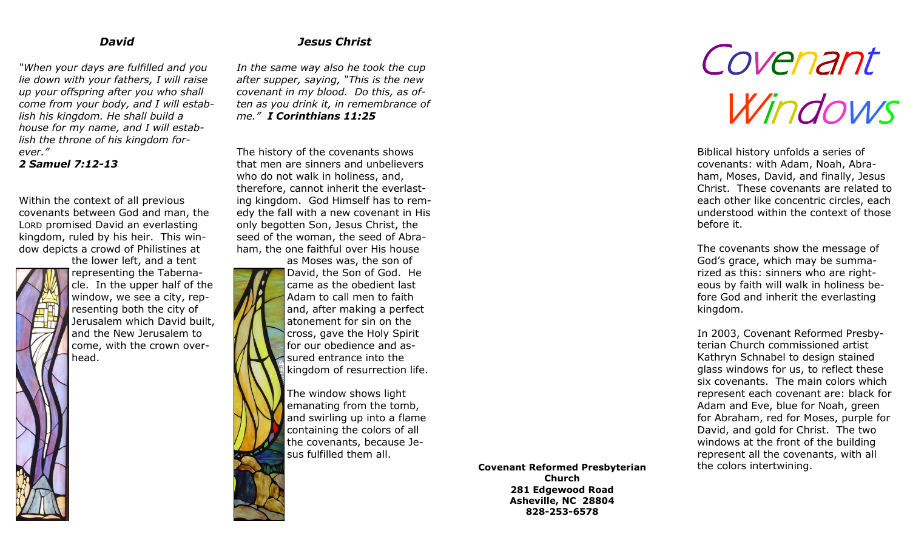#### *David*

*"When your days are fulfilled and you lie down with your fathers, I will raise up your offspring after you who shall come from your body, and I will establish his kingdom. He shall build a house for my name, and I will establish the throne of his kingdom forever."*

*2 Samuel 7:12-13*

Within the context of all previous covenants between God and man, the LORD promised David an everlasting kingdom, ruled by his heir. This window depicts a crowd of Philistines at the lower left, and a tent

representing the Tabernacle. In the upper half of the window, we see a city, representing both the city of Jerusalem which David built, and the New Jerusalem to come, with the crown overhead.

## *Jesus Christ*

*In the same way also he took the cup after supper, saying, "This is the new covenant in my blood. Do this, as often as you drink it, in remembrance of me." I Corinthians 11:25*

The history of the covenants shows that men are sinners and unbelievers who do not walk in holiness, and, therefore, cannot inherit the everlasting kingdom. God Himself has to remedy the fall with a new covenant in His only begotten Son, Jesus Christ, the seed of the woman, the seed of Abraham, the one faithful over His house

as Moses was, the son of David, the Son of God. He came as the obedient last Adam to call men to faith and, after making a perfect atonement for sin on the cross, gave the Holy Spirit for our obedience and assured entrance into the kingdom of resurrection life.

The window shows light emanating from the tomb, and swirling up into a flame containing the colors of all the covenants, because Jesus fulfilled them all.

> **Covenant Reformed Presbyterian Church 281 Edgewood Road Asheville, NC 28804 828-253-6578**

# Covenant Windows

Biblical history unfolds a series of covenants: with Adam, Noah, Abraham, Moses, David, and finally, Jesus Christ. These covenants are related to each other like concentric circles, each understood within the context of those before it.

The covenants show the message of God's grace, which may be summarized as this: sinners who are righteous by faith will walk in holiness before God and inherit the everlasting kingdom.

In 2003, Covenant Reformed Presbyterian Church commissioned artist Kathryn Schnabel to design stained glass windows for us, to reflect these six covenants. The main colors which represent each covenant are: black for Adam and Eve, blue for Noah, green for Abraham, red for Moses, purple for David, and gold for Christ. The two windows at the front of the building represent all the covenants, with all the colors intertwining.